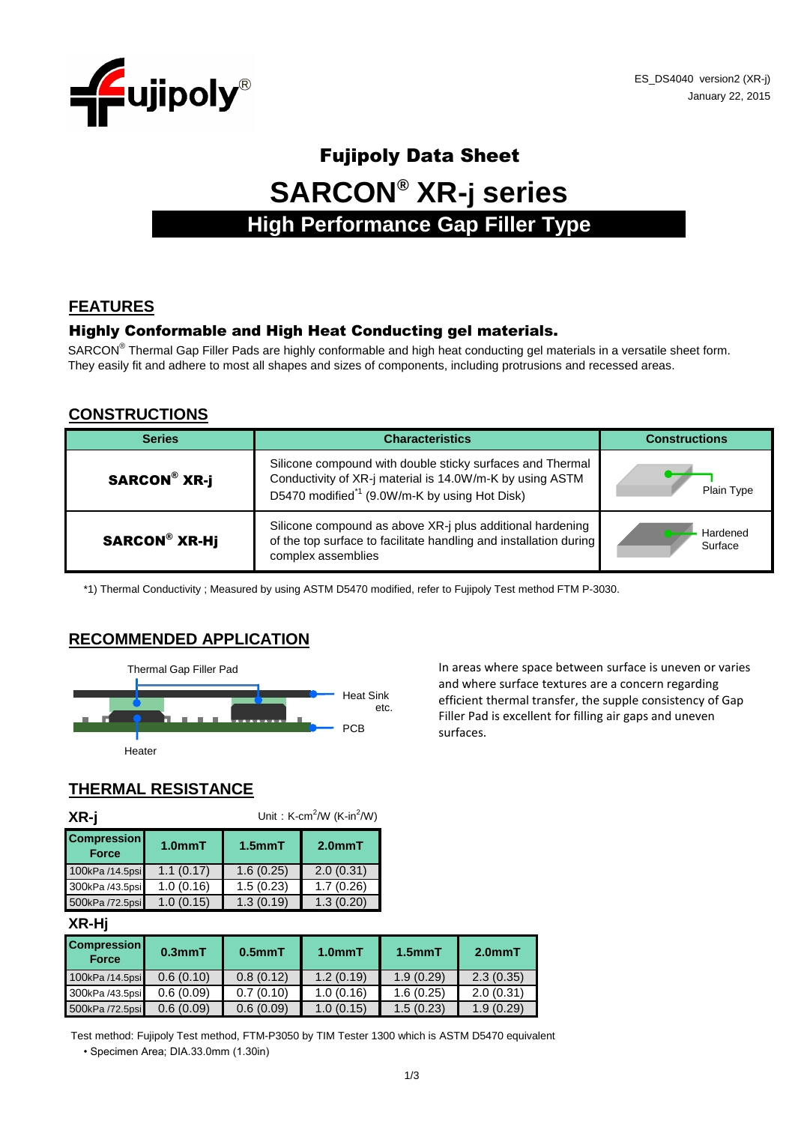

# Fujipoly Data Sheet **SARCON® XR-j series High Performance Gap Filler Type**

#### **FEATURES**

#### Highly Conformable and High Heat Conducting gel materials.

SARCON<sup>®</sup> Thermal Gap Filler Pads are highly conformable and high heat conducting gel materials in a versatile sheet form. They easily fit and adhere to most all shapes and sizes of components, including protrusions and recessed areas.

#### **CONSTRUCTIONS**

| <b>Series</b>        | <b>Characteristics</b>                                                                                                                                                             | <b>Constructions</b> |
|----------------------|------------------------------------------------------------------------------------------------------------------------------------------------------------------------------------|----------------------|
| <b>SARCON® XR-j</b>  | Silicone compound with double sticky surfaces and Thermal<br>Conductivity of XR-j material is 14.0W/m-K by using ASTM<br>D5470 modified <sup>*1</sup> (9.0W/m-K by using Hot Disk) | Plain Type           |
| <b>SARCON® XR-Hj</b> | Silicone compound as above XR-j plus additional hardening<br>of the top surface to facilitate handling and installation during<br>complex assemblies                               | Hardened<br>Surface  |

\*1) Thermal Conductivity ; Measured by using ASTM D5470 modified, refer to Fujipoly Test method FTM P-3030.

#### **RECOMMENDED APPLICATION**



Thermal Gap Filler Pad **In areas where space between surface is uneven or varies** and where surface textures are a concern regarding efficient thermal transfer, the supple consistency of Gap Filler Pad is excellent for filling air gaps and uneven

## **THERMAL RESISTANCE**

| XR-j                               | Unit: K-cm <sup>2</sup> /W (K-in <sup>2</sup> /W) |                     |           |  |  |
|------------------------------------|---------------------------------------------------|---------------------|-----------|--|--|
| <b>Compression</b><br><b>Force</b> | 1.0 <sub>mm</sub> T                               | 1.5 <sub>mm</sub> T | $2.0mm$ T |  |  |
| 100kPa /14.5psi                    | 1.1(0.17)                                         | 1.6(0.25)           | 2.0(0.31) |  |  |
| 300kPa /43.5psi                    | 1.0(0.16)                                         | 1.5(0.23)           | 1.7(0.26) |  |  |
| 500kPa /72.5psi                    | 1.0(0.15)                                         | 1.3(0.19)           | 1.3(0.20) |  |  |

#### **XR-Hj**

| <b>Compression</b><br><b>Force</b> | 0.3 <sub>mm</sub> T | $0.5$ mm $T$ | 1.0 <sub>mm</sub> T | 1.5 <sub>mm</sub> T | $2.0mm$ T |
|------------------------------------|---------------------|--------------|---------------------|---------------------|-----------|
| 100kPa /14.5psi                    | 0.6(0.10)           | 0.8(0.12)    | 1.2(0.19)           | 1.9(0.29)           | 2.3(0.35) |
| 300kPa /43.5psi                    | 0.6(0.09)           | 0.7(0.10)    | 1.0(0.16)           | 1.6(0.25)           | 2.0(0.31) |
| 500kPa /72.5psi                    | 0.6(0.09)           | 0.6(0.09)    | 1.0(0.15)           | 1.5(0.23)           | 1.9(0.29) |

• Specimen Area; DIA.33.0mm (1.30in) Test method: Fujipoly Test method, FTM-P3050 by TIM Tester 1300 which is ASTM D5470 equivalent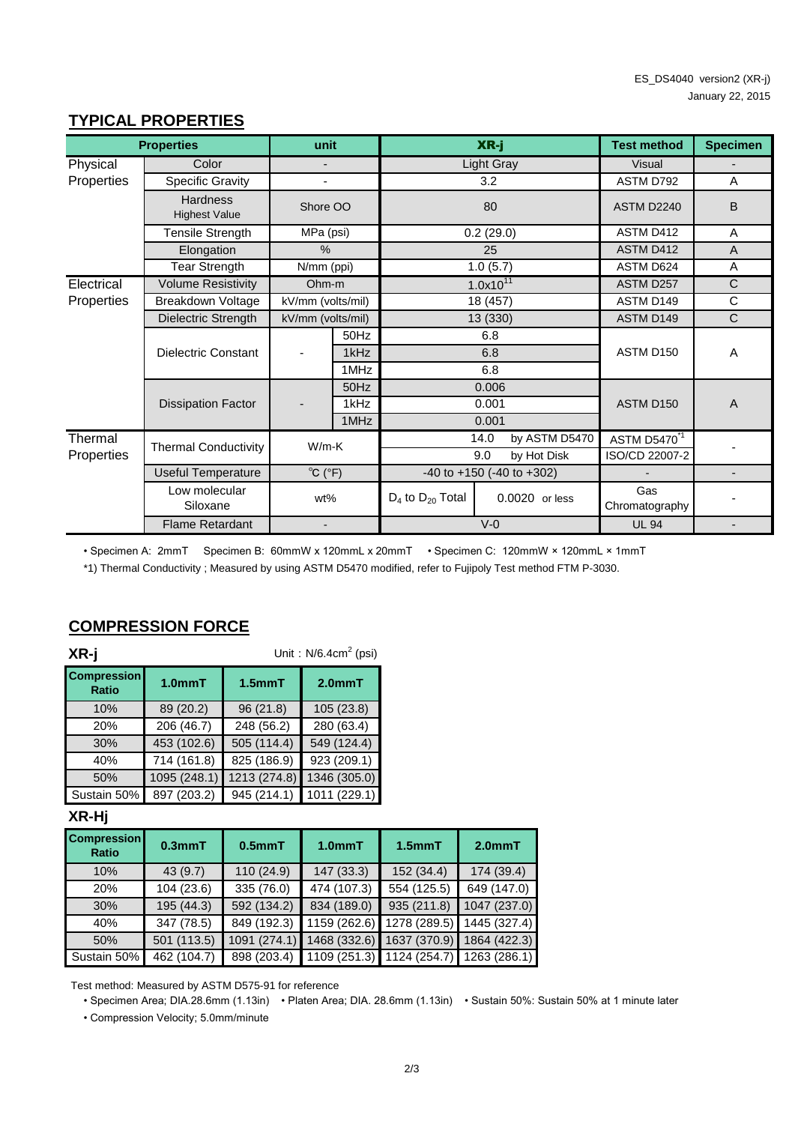#### **TYPICAL PROPERTIES**

|            | <b>Properties</b>                       | unit                              |                               |                                     | XR-j                  | <b>Test method</b>             | <b>Specimen</b> |
|------------|-----------------------------------------|-----------------------------------|-------------------------------|-------------------------------------|-----------------------|--------------------------------|-----------------|
| Physical   | Color                                   |                                   |                               |                                     | <b>Light Gray</b>     | <b>Visual</b>                  |                 |
| Properties | Specific Gravity                        |                                   |                               |                                     | 3.2                   | ASTM D792                      | A               |
|            | <b>Hardness</b><br><b>Highest Value</b> | Shore OO                          |                               |                                     | 80                    | ASTM D2240                     | B               |
|            | <b>Tensile Strength</b>                 | MPa (psi)                         |                               |                                     | 0.2(29.0)             | ASTM D412                      | A               |
|            | Elongation                              | $\%$                              |                               |                                     | 25                    | ASTM D412                      | A               |
|            | <b>Tear Strength</b>                    | N/mm (ppi)                        |                               |                                     | 1.0(5.7)              | ASTM D624                      | A               |
| Electrical | <b>Volume Resistivity</b>               | Ohm-m                             |                               |                                     | $1.0x10^{11}$         | <b>ASTM D257</b>               | $\mathsf{C}$    |
| Properties | Breakdown Voltage                       |                                   | kV/mm (volts/mil)<br>18 (457) |                                     | ASTM D149             | $\mathsf{C}$                   |                 |
|            | Dielectric Strength                     | kV/mm (volts/mil)                 |                               | 13 (330)                            |                       | ASTM D149                      | $\mathsf{C}$    |
|            |                                         |                                   | 50Hz                          |                                     | 6.8                   |                                |                 |
|            | <b>Dielectric Constant</b>              |                                   | 1kHz                          |                                     | 6.8                   | ASTM D150                      | A               |
|            |                                         |                                   | 1MHz                          |                                     | 6.8                   |                                |                 |
|            |                                         |                                   | 50Hz                          |                                     | 0.006                 |                                |                 |
|            | <b>Dissipation Factor</b>               |                                   | 1kHz                          |                                     | 0.001                 | ASTM D150                      | $\overline{A}$  |
|            |                                         |                                   | 1MHz                          |                                     | 0.001                 |                                |                 |
| Thermal    | <b>Thermal Conductivity</b>             | $W/m-K$                           |                               |                                     | 14.0<br>by ASTM D5470 | <b>ASTM D5470<sup>*1</sup></b> |                 |
| Properties |                                         |                                   |                               |                                     | 9.0<br>by Hot Disk    | ISO/CD 22007-2                 |                 |
|            | <b>Useful Temperature</b>               | $^{\circ}$ C ( $^{\circ}$ F)      |                               | $-40$ to $+150$ ( $-40$ to $+302$ ) |                       |                                |                 |
|            | Low molecular<br>Siloxane               | wt%                               |                               | $D_4$ to $D_{20}$ Total             | 0.0020 or less        | Gas<br>Chromatography          |                 |
|            | <b>Flame Retardant</b>                  | $V-0$<br>$\overline{\phantom{0}}$ |                               | <b>UL 94</b>                        |                       |                                |                 |

• Specimen A: 2mmT Specimen B: 60mmW x 120mmL x 20mmT • Specimen C: 120mmW × 120mmL × 1mmT

\*1) Thermal Conductivity ; Measured by using ASTM D5470 modified, refer to Fujipoly Test method FTM P-3030.

| XR-j                               | Unit: $N/6.4cm2$ (psi) |              |                     |  |  |
|------------------------------------|------------------------|--------------|---------------------|--|--|
| <b>Compression</b><br><b>Ratio</b> | 1.0 <sub>mm</sub> T    | $1.5$ mm $T$ | 2.0 <sub>mm</sub> T |  |  |
| 10%                                | 89 (20.2)              | 96(21.8)     | 105(23.8)           |  |  |
| 20%                                | 206 (46.7)             | 248 (56.2)   | 280 (63.4)          |  |  |
| 30%                                | 453 (102.6)            | 505 (114.4)  | 549 (124.4)         |  |  |
| 40%                                | 714 (161.8)            | 825 (186.9)  | 923 (209.1)         |  |  |
| 50%                                | 1095 (248.1)           | 1213 (274.8) | 1346 (305.0)        |  |  |
| Sustain 50%                        | 897 (203.2)            | 945 (214.1)  | 1011 (229.1)        |  |  |

## **COMPRESSION FORCE**

#### **XR-Hj**

| <b>Compression</b><br><b>Ratio</b> | 0.3 <sub>mm</sub> T | $0.5$ mm $T$ | 1.0 <sub>mm</sub> T       | $1.5$ mm $T$ | 2.0 <sub>mm</sub> T |
|------------------------------------|---------------------|--------------|---------------------------|--------------|---------------------|
| 10%                                | 43(9.7)             | 110(24.9)    | 147 (33.3)                | 152 (34.4)   | 174(39.4)           |
| 20%                                | 104(23.6)           | 335 (76.0)   | 474 (107.3)               | 554 (125.5)  | 649 (147.0)         |
| 30%                                | 195 (44.3)          | 592 (134.2)  | 834 (189.0)               | 935 (211.8)  | 1047(237.0)         |
| 40%                                | 347 (78.5)          | 849 (192.3)  | 1159 (262.6)              | 1278 (289.5) | 1445 (327.4)        |
| 50%                                | 501(113.5)          | 1091 (274.1) | 1468 (332.6)              | 1637 (370.9) | 1864 (422.3)        |
| Sustain 50%                        | 462 (104.7)         | 898 (203.4)  | 1109 (251.3) 1124 (254.7) |              | 1263 (286.1)        |

Test method: Measured by ASTM D575-91 for reference

• Specimen Area; DIA.28.6mm (1.13in) • Platen Area; DIA. 28.6mm (1.13in) • Sustain 50%: Sustain 50% at 1 minute later

• Compression Velocity; 5.0mm/minute